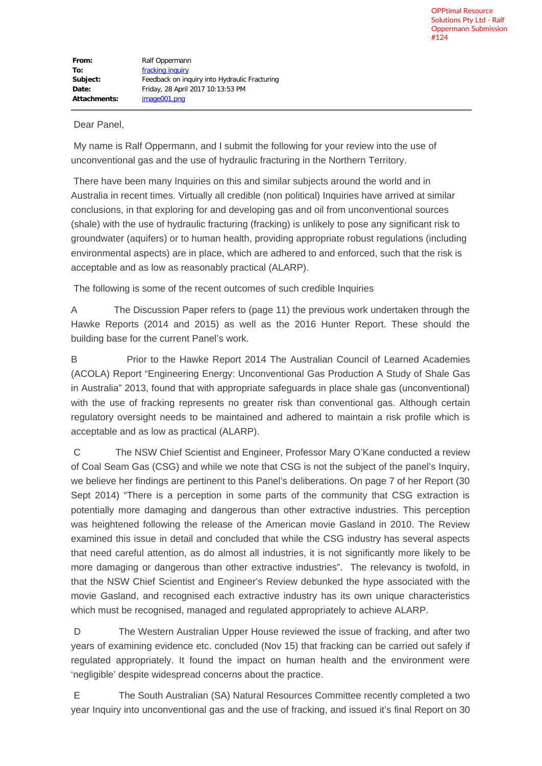## Dear Panel,

 My name is Ralf Oppermann, and I submit the following for your review into the use of unconventional gas and the use of hydraulic fracturing in the Northern Territory.

 There have been many Inquiries on this and similar subjects around the world and in Australia in recent times. Virtually all credible (non political) Inquiries have arrived at similar conclusions, in that exploring for and developing gas and oil from unconventional sources (shale) with the use of hydraulic fracturing (fracking) is unlikely to pose any significant risk to groundwater (aquifers) or to human health, providing appropriate robust regulations (including environmental aspects) are in place, which are adhered to and enforced, such that the risk is acceptable and as low as reasonably practical (ALARP).

The following is some of the recent outcomes of such credible Inquiries

A The Discussion Paper refers to (page 11) the previous work undertaken through the Hawke Reports (2014 and 2015) as well as the 2016 Hunter Report. These should the building base for the current Panel's work.

B Prior to the Hawke Report 2014 The Australian Council of Learned Academies (ACOLA) Report "Engineering Energy: Unconventional Gas Production A Study of Shale Gas in Australia" 2013, found that with appropriate safeguards in place shale gas (unconventional) with the use of fracking represents no greater risk than conventional gas. Although certain regulatory oversight needs to be maintained and adhered to maintain a risk profile which is acceptable and as low as practical (ALARP).

 C The NSW Chief Scientist and Engineer, Professor Mary O'Kane conducted a review of Coal Seam Gas (CSG) and while we note that CSG is not the subject of the panel's Inquiry, we believe her findings are pertinent to this Panel's deliberations. On page 7 of her Report (30 Sept 2014) "There is a perception in some parts of the community that CSG extraction is potentially more damaging and dangerous than other extractive industries. This perception was heightened following the release of the American movie Gasland in 2010. The Review examined this issue in detail and concluded that while the CSG industry has several aspects that need careful attention, as do almost all industries, it is not significantly more likely to be more damaging or dangerous than other extractive industries". The relevancy is twofold, in that the NSW Chief Scientist and Engineer's Review debunked the hype associated with the movie Gasland, and recognised each extractive industry has its own unique characteristics which must be recognised, managed and regulated appropriately to achieve ALARP.

 D The Western Australian Upper House reviewed the issue of fracking, and after two years of examining evidence etc. concluded (Nov 15) that fracking can be carried out safely if regulated appropriately. It found the impact on human health and the environment were 'negligible' despite widespread concerns about the practice.

 E The South Australian (SA) Natural Resources Committee recently completed a two year Inquiry into unconventional gas and the use of fracking, and issued it's final Report on 30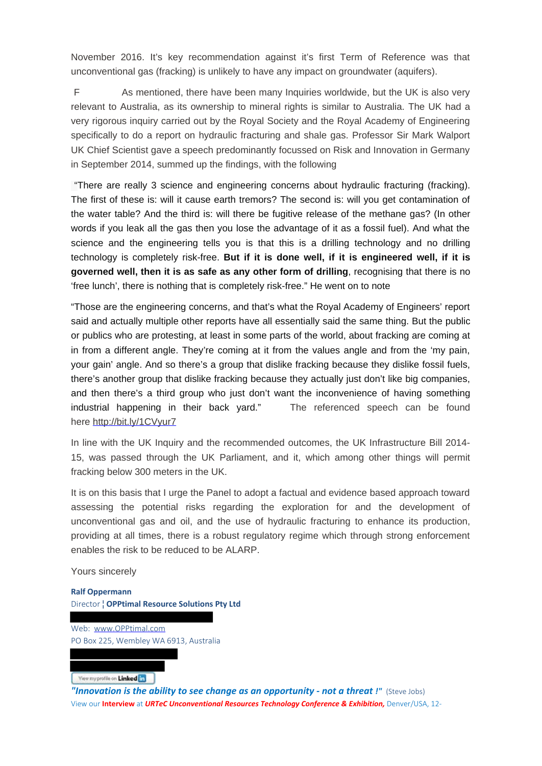November 2016. It's key recommendation against it's first Term of Reference was that unconventional gas (fracking) is unlikely to have any impact on groundwater (aquifers).

 F As mentioned, there have been many Inquiries worldwide, but the UK is also very relevant to Australia, as its ownership to mineral rights is similar to Australia. The UK had a very rigorous inquiry carried out by the Royal Society and the Royal Academy of Engineering specifically to do a report on hydraulic fracturing and shale gas. Professor Sir Mark Walport UK Chief Scientist gave a speech predominantly focussed on Risk and Innovation in Germany in September 2014, summed up the findings, with the following

 "There are really 3 science and engineering concerns about hydraulic fracturing (fracking). The first of these is: will it cause earth tremors? The second is: will you get contamination of the water table? And the third is: will there be fugitive release of the methane gas? (In other words if you leak all the gas then you lose the advantage of it as a fossil fuel). And what the science and the engineering tells you is that this is a drilling technology and no drilling technology is completely risk-free. **But if it is done well, if it is engineered well, if it is governed well, then it is as safe as any other form of drilling**, recognising that there is no 'free lunch', there is nothing that is completely risk-free." He went on to note

"Those are the engineering concerns, and that's what the Royal Academy of Engineers' report said and actually multiple other reports have all essentially said the same thing. But the public or publics who are protesting, at least in some parts of the world, about fracking are coming at in from a different angle. They're coming at it from the values angle and from the 'my pain, your gain' angle. And so there's a group that dislike fracking because they dislike fossil fuels, there's another group that dislike fracking because they actually just don't like big companies, and then there's a third group who just don't want the inconvenience of having something industrial happening in their back yard." The referenced speech can be found here http://bit.ly/1CVyur7

In line with the UK Inquiry and the recommended outcomes, the UK Infrastructure Bill 2014- 15, was passed through the UK Parliament, and it, which among other things will permit fracking below 300 meters in the UK.

It is on this basis that I urge the Panel to adopt a factual and evidence based approach toward assessing the potential risks regarding the exploration for and the development of unconventional gas and oil, and the use of hydraulic fracturing to enhance its production, providing at all times, there is a robust regulatory regime which through strong enforcement enables the risk to be reduced to be ALARP.

Yours sincerely

**Ralf Oppermann** Director ¦ **OPPtimal Resource Solutions Pty Ltd**

Web: www.OPPtimal.com PO Box 225, Wembley WA 6913, Australia

Yiew my profile on Linked

"Innovation is the ability to see change as an opportunity - not a threat !" (Steve Jobs) View our **Interview** at *URTeC Unconventional Resources Technology Conference & Exhibition,* Denver/USA, 12-